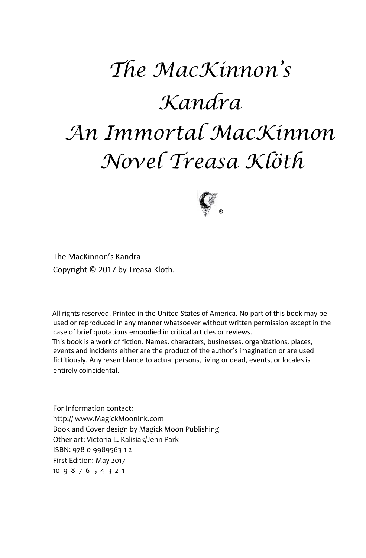# *The MacKinnon's Kandra An Immortal MacKinnon Novel Treasa Klöth*



The MacKinnon's Kandra Copyright © 2017 by Treasa Klöth.

All rights reserved. Printed in the United States of America. No part of this book may be used or reproduced in any manner whatsoever without written permission except in the case of brief quotations embodied in critical articles or reviews.

This book is a work of fiction. Names, characters, businesses, organizations, places, events and incidents either are the product of the author's imagination or are used fictitiously. Any resemblance to actual persons, living or dead, events, or locales is entirely coincidental.

For Information contact: http:// www.MagickMoonInk.com Book and Cover design by Magick Moon Publishing Other art: Victoria L. Kalisiak/Jenn Park ISBN: 978-0-9989563-1-2 First Edition: May 2017 10 9 8 7 6 5 4 3 2 1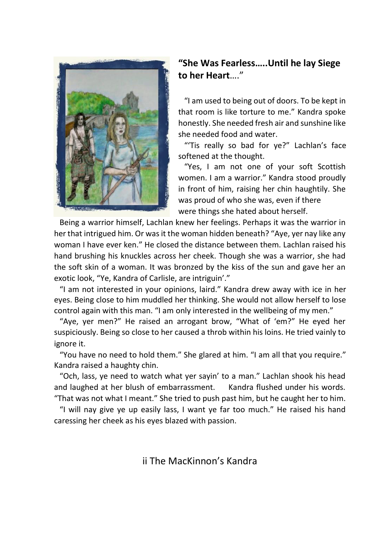

#### **"She Was Fearless…..Until he lay Siege to her Heart**…."

 "I am used to being out of doors. To be kept in that room is like torture to me." Kandra spoke honestly. She needed fresh air and sunshine like she needed food and water.

 "'Tis really so bad for ye?" Lachlan's face softened at the thought.

 "Yes, I am not one of your soft Scottish women. I am a warrior." Kandra stood proudly in front of him, raising her chin haughtily. She was proud of who she was, even if there were things she hated about herself.

 Being a warrior himself, Lachlan knew her feelings. Perhaps it was the warrior in her that intrigued him. Or was it the woman hidden beneath? "Aye, yer nay like any woman I have ever ken." He closed the distance between them. Lachlan raised his hand brushing his knuckles across her cheek. Though she was a warrior, she had the soft skin of a woman. It was bronzed by the kiss of the sun and gave her an exotic look, "Ye, Kandra of Carlisle, are intriguin'."

 "I am not interested in your opinions, laird." Kandra drew away with ice in her eyes. Being close to him muddled her thinking. She would not allow herself to lose control again with this man. "I am only interested in the wellbeing of my men."

 "Aye, yer men?" He raised an arrogant brow, "What of 'em?" He eyed her suspiciously. Being so close to her caused a throb within his loins. He tried vainly to ignore it.

 "You have no need to hold them." She glared at him. "I am all that you require." Kandra raised a haughty chin.

 "Och, lass, ye need to watch what yer sayin' to a man." Lachlan shook his head and laughed at her blush of embarrassment. Kandra flushed under his words. "That was not what I meant." She tried to push past him, but he caught her to him.

 "I will nay give ye up easily lass, I want ye far too much." He raised his hand caressing her cheek as his eyes blazed with passion.

ii The MacKinnon's Kandra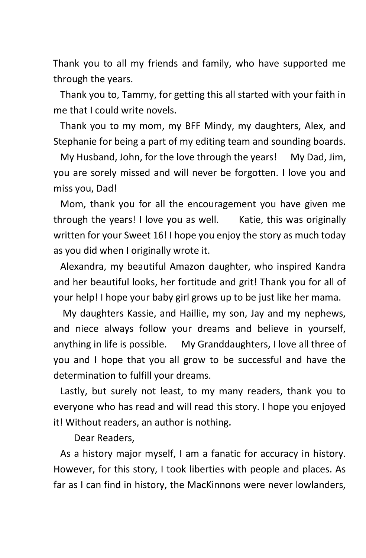Thank you to all my friends and family, who have supported me through the years.

 Thank you to, Tammy, for getting this all started with your faith in me that I could write novels.

 Thank you to my mom, my BFF Mindy, my daughters, Alex, and Stephanie for being a part of my editing team and sounding boards.

 My Husband, John, for the love through the years! My Dad, Jim, you are sorely missed and will never be forgotten. I love you and miss you, Dad!

 Mom, thank you for all the encouragement you have given me through the years! I love you as well. Katie, this was originally written for your Sweet 16! I hope you enjoy the story as much today as you did when I originally wrote it.

 Alexandra, my beautiful Amazon daughter, who inspired Kandra and her beautiful looks, her fortitude and grit! Thank you for all of your help! I hope your baby girl grows up to be just like her mama.

 My daughters Kassie, and Haillie, my son, Jay and my nephews, and niece always follow your dreams and believe in yourself, anything in life is possible. My Granddaughters, I love all three of you and I hope that you all grow to be successful and have the determination to fulfill your dreams.

 Lastly, but surely not least, to my many readers, thank you to everyone who has read and will read this story. I hope you enjoyed it! Without readers, an author is nothing.

Dear Readers,

 As a history major myself, I am a fanatic for accuracy in history. However, for this story, I took liberties with people and places. As far as I can find in history, the MacKinnons were never lowlanders,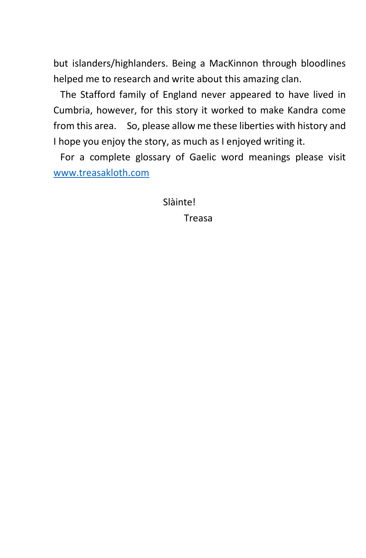but islanders/highlanders. Being a MacKinnon through bloodlines helped me to research and write about this amazing clan.

 The Stafford family of England never appeared to have lived in Cumbria, however, for this story it worked to make Kandra come from this area. So, please allow me these liberties with history and I hope you enjoy the story, as much as I enjoyed writing it.

 For a complete glossary of Gaelic word meanings please visit [www.treasakloth.com](http://www.treasakloth.com/)

Slàinte!

Treasa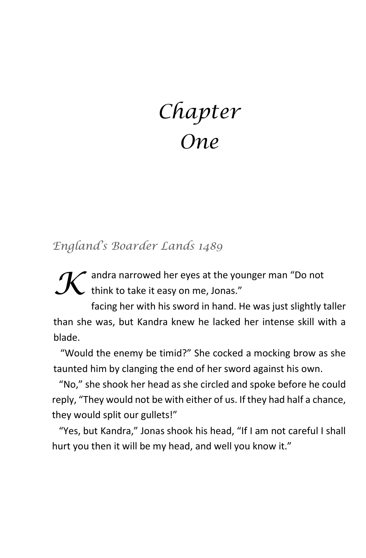## *Chapter One*

*England's Boarder Lands 1489* 

\* andra narrowed her eyes at the younger man "Do not  $\boldsymbol{\mathcal{K}}$  andra narrowed her eyes at the you<br>think to take it easy on me, Jonas."

facing her with his sword in hand. He was just slightly taller than she was, but Kandra knew he lacked her intense skill with a blade.

 "Would the enemy be timid?" She cocked a mocking brow as she taunted him by clanging the end of her sword against his own.

 "No," she shook her head as she circled and spoke before he could reply, "They would not be with either of us. If they had half a chance, they would split our gullets!"

 "Yes, but Kandra," Jonas shook his head, "If I am not careful I shall hurt you then it will be my head, and well you know it."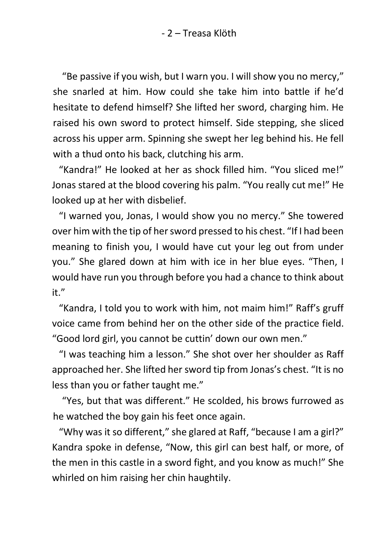- 2 – Treasa Klöth

"Be passive if you wish, but I warn you. I will show you no mercy," she snarled at him. How could she take him into battle if he'd hesitate to defend himself? She lifted her sword, charging him. He raised his own sword to protect himself. Side stepping, she sliced across his upper arm. Spinning she swept her leg behind his. He fell with a thud onto his back, clutching his arm.

 "Kandra!" He looked at her as shock filled him. "You sliced me!" Jonas stared at the blood covering his palm. "You really cut me!" He looked up at her with disbelief.

 "I warned you, Jonas, I would show you no mercy." She towered over him with the tip of her sword pressed to his chest. "If I had been meaning to finish you, I would have cut your leg out from under you." She glared down at him with ice in her blue eyes. "Then, I would have run you through before you had a chance to think about it."

 "Kandra, I told you to work with him, not maim him!" Raff's gruff voice came from behind her on the other side of the practice field. "Good lord girl, you cannot be cuttin' down our own men."

 "I was teaching him a lesson." She shot over her shoulder as Raff approached her. She lifted her sword tip from Jonas's chest. "It is no less than you or father taught me."

"Yes, but that was different." He scolded, his brows furrowed as he watched the boy gain his feet once again.

 "Why was it so different," she glared at Raff, "because I am a girl?" Kandra spoke in defense, "Now, this girl can best half, or more, of the men in this castle in a sword fight, and you know as much!" She whirled on him raising her chin haughtily.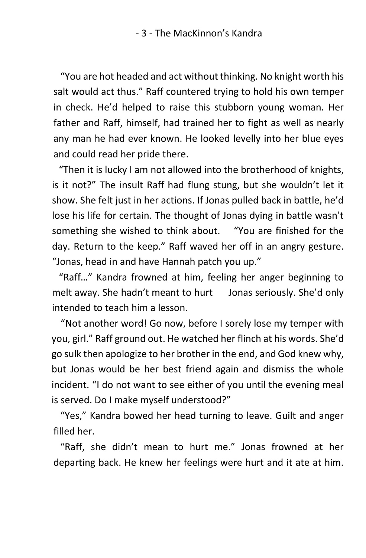"You are hot headed and act without thinking. No knight worth his salt would act thus." Raff countered trying to hold his own temper in check. He'd helped to raise this stubborn young woman. Her father and Raff, himself, had trained her to fight as well as nearly any man he had ever known. He looked levelly into her blue eyes and could read her pride there.

 "Then it is lucky I am not allowed into the brotherhood of knights, is it not?" The insult Raff had flung stung, but she wouldn't let it show. She felt just in her actions. If Jonas pulled back in battle, he'd lose his life for certain. The thought of Jonas dying in battle wasn't something she wished to think about. "You are finished for the day. Return to the keep." Raff waved her off in an angry gesture. "Jonas, head in and have Hannah patch you up."

 "Raff…" Kandra frowned at him, feeling her anger beginning to melt away. She hadn't meant to hurt Jonas seriously. She'd only intended to teach him a lesson.

"Not another word! Go now, before I sorely lose my temper with you, girl." Raff ground out. He watched her flinch at his words. She'd go sulk then apologize to her brother in the end, and God knew why, but Jonas would be her best friend again and dismiss the whole incident. "I do not want to see either of you until the evening meal is served. Do I make myself understood?"

 "Yes," Kandra bowed her head turning to leave. Guilt and anger filled her.

 "Raff, she didn't mean to hurt me." Jonas frowned at her departing back. He knew her feelings were hurt and it ate at him.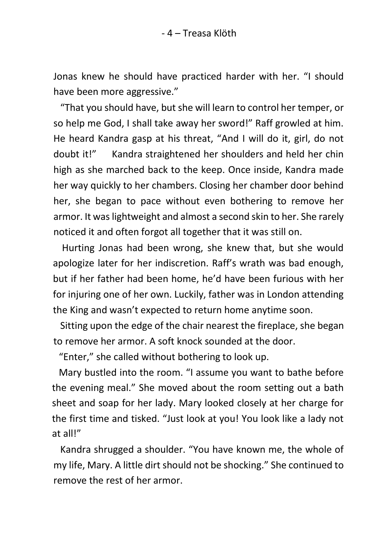Jonas knew he should have practiced harder with her. "I should have been more aggressive."

 "That you should have, but she will learn to control her temper, or so help me God, I shall take away her sword!" Raff growled at him. He heard Kandra gasp at his threat, "And I will do it, girl, do not doubt it!" Kandra straightened her shoulders and held her chin high as she marched back to the keep. Once inside, Kandra made her way quickly to her chambers. Closing her chamber door behind her, she began to pace without even bothering to remove her armor. It was lightweight and almost a second skin to her. She rarely noticed it and often forgot all together that it was still on.

Hurting Jonas had been wrong, she knew that, but she would apologize later for her indiscretion. Raff's wrath was bad enough, but if her father had been home, he'd have been furious with her for injuring one of her own. Luckily, father was in London attending the King and wasn't expected to return home anytime soon.

 Sitting upon the edge of the chair nearest the fireplace, she began to remove her armor. A soft knock sounded at the door.

"Enter," she called without bothering to look up.

 Mary bustled into the room. "I assume you want to bathe before the evening meal." She moved about the room setting out a bath sheet and soap for her lady. Mary looked closely at her charge for the first time and tisked. "Just look at you! You look like a lady not at all!"

 Kandra shrugged a shoulder. "You have known me, the whole of my life, Mary. A little dirt should not be shocking." She continued to remove the rest of her armor.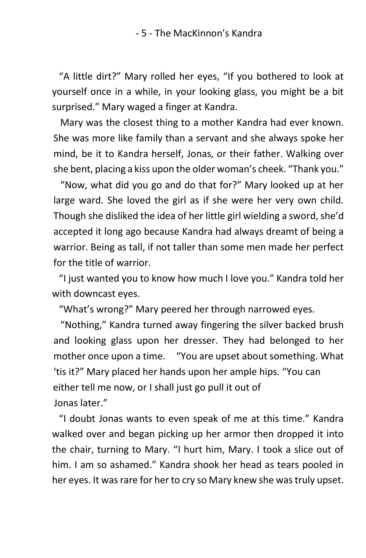"A little dirt?" Mary rolled her eyes, "If you bothered to look at yourself once in a while, in your looking glass, you might be a bit surprised." Mary waged a finger at Kandra.

 Mary was the closest thing to a mother Kandra had ever known. She was more like family than a servant and she always spoke her mind, be it to Kandra herself, Jonas, or their father. Walking over she bent, placing a kiss upon the older woman's cheek. "Thank you."

 "Now, what did you go and do that for?" Mary looked up at her large ward. She loved the girl as if she were her very own child. Though she disliked the idea of her little girl wielding a sword, she'd accepted it long ago because Kandra had always dreamt of being a warrior. Being as tall, if not taller than some men made her perfect for the title of warrior.

 "I just wanted you to know how much I love you." Kandra told her with downcast eyes.

"What's wrong?" Mary peered her through narrowed eyes.

 "Nothing," Kandra turned away fingering the silver backed brush and looking glass upon her dresser. They had belonged to her mother once upon a time. "You are upset about something. What 'tis it?" Mary placed her hands upon her ample hips. "You can either tell me now, or I shall just go pull it out of Jonas later."

 "I doubt Jonas wants to even speak of me at this time." Kandra walked over and began picking up her armor then dropped it into the chair, turning to Mary. "I hurt him, Mary. I took a slice out of him. I am so ashamed." Kandra shook her head as tears pooled in her eyes. It was rare for her to cry so Mary knew she was truly upset.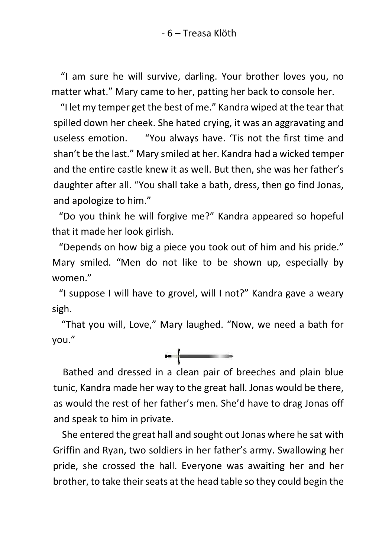- 6 – Treasa Klöth

"I am sure he will survive, darling. Your brother loves you, no matter what." Mary came to her, patting her back to console her.

 "I let my temper get the best of me." Kandra wiped at the tear that spilled down her cheek. She hated crying, it was an aggravating and useless emotion. "You always have. 'Tis not the first time and shan't be the last." Mary smiled at her. Kandra had a wicked temper and the entire castle knew it as well. But then, she was her father's daughter after all. "You shall take a bath, dress, then go find Jonas, and apologize to him."

 "Do you think he will forgive me?" Kandra appeared so hopeful that it made her look girlish.

 "Depends on how big a piece you took out of him and his pride." Mary smiled. "Men do not like to be shown up, especially by women."

 "I suppose I will have to grovel, will I not?" Kandra gave a weary sigh.

 "That you will, Love," Mary laughed. "Now, we need a bath for you."



 Bathed and dressed in a clean pair of breeches and plain blue tunic, Kandra made her way to the great hall. Jonas would be there, as would the rest of her father's men. She'd have to drag Jonas off and speak to him in private.

She entered the great hall and sought out Jonas where he sat with Griffin and Ryan, two soldiers in her father's army. Swallowing her pride, she crossed the hall. Everyone was awaiting her and her brother, to take their seats at the head table so they could begin the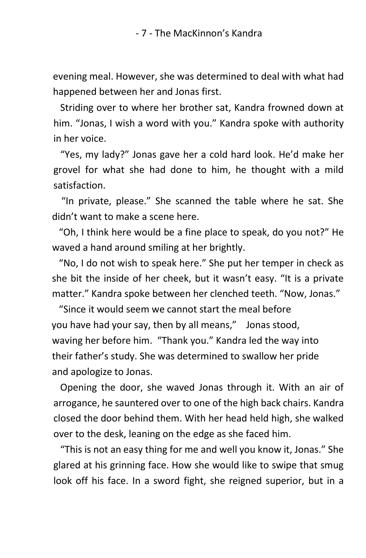evening meal. However, she was determined to deal with what had happened between her and Jonas first.

 Striding over to where her brother sat, Kandra frowned down at him. "Jonas, I wish a word with you." Kandra spoke with authority in her voice.

 "Yes, my lady?" Jonas gave her a cold hard look. He'd make her grovel for what she had done to him, he thought with a mild satisfaction.

 "In private, please." She scanned the table where he sat. She didn't want to make a scene here.

 "Oh, I think here would be a fine place to speak, do you not?" He waved a hand around smiling at her brightly.

 "No, I do not wish to speak here." She put her temper in check as she bit the inside of her cheek, but it wasn't easy. "It is a private matter." Kandra spoke between her clenched teeth. "Now, Jonas."

 "Since it would seem we cannot start the meal before you have had your say, then by all means," Jonas stood, waving her before him. "Thank you." Kandra led the way into their father's study. She was determined to swallow her pride and apologize to Jonas.

 Opening the door, she waved Jonas through it. With an air of arrogance, he sauntered over to one of the high back chairs. Kandra closed the door behind them. With her head held high, she walked over to the desk, leaning on the edge as she faced him.

 "This is not an easy thing for me and well you know it, Jonas." She glared at his grinning face. How she would like to swipe that smug look off his face. In a sword fight, she reigned superior, but in a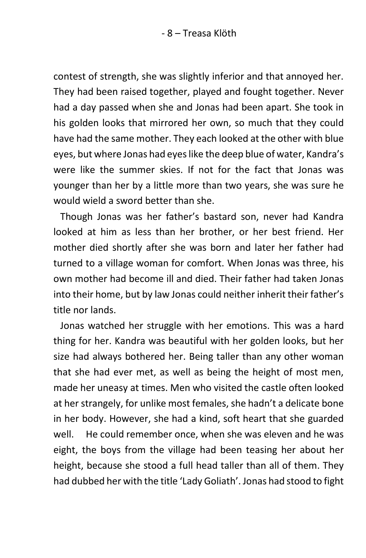contest of strength, she was slightly inferior and that annoyed her. They had been raised together, played and fought together. Never had a day passed when she and Jonas had been apart. She took in his golden looks that mirrored her own, so much that they could have had the same mother. They each looked at the other with blue eyes, but where Jonas had eyes like the deep blue of water, Kandra's were like the summer skies. If not for the fact that Jonas was younger than her by a little more than two years, she was sure he would wield a sword better than she.

 Though Jonas was her father's bastard son, never had Kandra looked at him as less than her brother, or her best friend. Her mother died shortly after she was born and later her father had turned to a village woman for comfort. When Jonas was three, his own mother had become ill and died. Their father had taken Jonas into their home, but by law Jonas could neither inherit their father's title nor lands.

 Jonas watched her struggle with her emotions. This was a hard thing for her. Kandra was beautiful with her golden looks, but her size had always bothered her. Being taller than any other woman that she had ever met, as well as being the height of most men, made her uneasy at times. Men who visited the castle often looked at her strangely, for unlike most females, she hadn't a delicate bone in her body. However, she had a kind, soft heart that she guarded well. He could remember once, when she was eleven and he was eight, the boys from the village had been teasing her about her height, because she stood a full head taller than all of them. They had dubbed her with the title 'Lady Goliath'. Jonas had stood to fight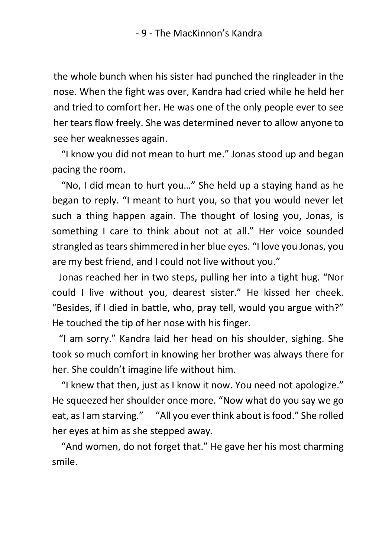the whole bunch when his sister had punched the ringleader in the nose. When the fight was over, Kandra had cried while he held her and tried to comfort her. He was one of the only people ever to see her tears flow freely. She was determined never to allow anyone to see her weaknesses again.

 "I know you did not mean to hurt me." Jonas stood up and began pacing the room.

 "No, I did mean to hurt you…" She held up a staying hand as he began to reply. "I meant to hurt you, so that you would never let such a thing happen again. The thought of losing you, Jonas, is something I care to think about not at all." Her voice sounded strangled as tears shimmered in her blue eyes. "I love you Jonas, you are my best friend, and I could not live without you."

 Jonas reached her in two steps, pulling her into a tight hug. "Nor could I live without you, dearest sister." He kissed her cheek. "Besides, if I died in battle, who, pray tell, would you argue with?" He touched the tip of her nose with his finger.

 "I am sorry." Kandra laid her head on his shoulder, sighing. She took so much comfort in knowing her brother was always there for her. She couldn't imagine life without him.

 "I knew that then, just as I know it now. You need not apologize." He squeezed her shoulder once more. "Now what do you say we go eat, as I am starving." "All you ever think about is food." She rolled her eyes at him as she stepped away.

 "And women, do not forget that." He gave her his most charming smile.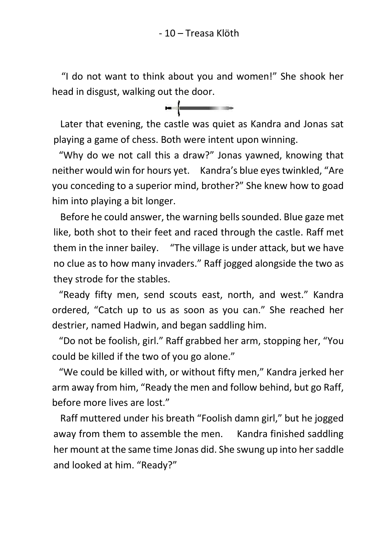"I do not want to think about you and women!" She shook her head in disgust, walking out the door.



 Later that evening, the castle was quiet as Kandra and Jonas sat playing a game of chess. Both were intent upon winning.

 "Why do we not call this a draw?" Jonas yawned, knowing that neither would win for hours yet. Kandra's blue eyes twinkled, "Are you conceding to a superior mind, brother?" She knew how to goad him into playing a bit longer.

 Before he could answer, the warning bells sounded. Blue gaze met like, both shot to their feet and raced through the castle. Raff met them in the inner bailey. "The village is under attack, but we have no clue as to how many invaders." Raff jogged alongside the two as they strode for the stables.

 "Ready fifty men, send scouts east, north, and west." Kandra ordered, "Catch up to us as soon as you can." She reached her destrier, named Hadwin, and began saddling him.

 "Do not be foolish, girl." Raff grabbed her arm, stopping her, "You could be killed if the two of you go alone."

 "We could be killed with, or without fifty men," Kandra jerked her arm away from him, "Ready the men and follow behind, but go Raff, before more lives are lost."

 Raff muttered under his breath "Foolish damn girl," but he jogged away from them to assemble the men. Kandra finished saddling her mount at the same time Jonas did. She swung up into her saddle and looked at him. "Ready?"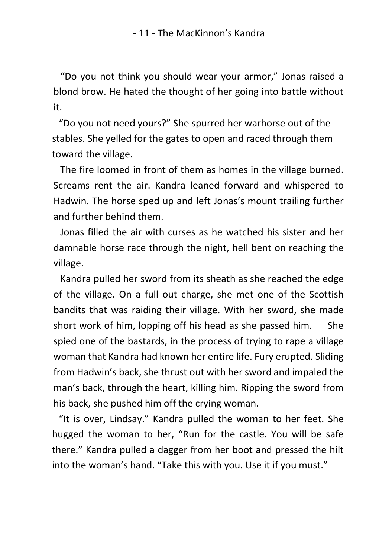"Do you not think you should wear your armor," Jonas raised a blond brow. He hated the thought of her going into battle without it.

 "Do you not need yours?" She spurred her warhorse out of the stables. She yelled for the gates to open and raced through them toward the village.

 The fire loomed in front of them as homes in the village burned. Screams rent the air. Kandra leaned forward and whispered to Hadwin. The horse sped up and left Jonas's mount trailing further and further behind them.

 Jonas filled the air with curses as he watched his sister and her damnable horse race through the night, hell bent on reaching the village.

 Kandra pulled her sword from its sheath as she reached the edge of the village. On a full out charge, she met one of the Scottish bandits that was raiding their village. With her sword, she made short work of him, lopping off his head as she passed him. She spied one of the bastards, in the process of trying to rape a village woman that Kandra had known her entire life. Fury erupted. Sliding from Hadwin's back, she thrust out with her sword and impaled the man's back, through the heart, killing him. Ripping the sword from his back, she pushed him off the crying woman.

 "It is over, Lindsay." Kandra pulled the woman to her feet. She hugged the woman to her, "Run for the castle. You will be safe there." Kandra pulled a dagger from her boot and pressed the hilt into the woman's hand. "Take this with you. Use it if you must."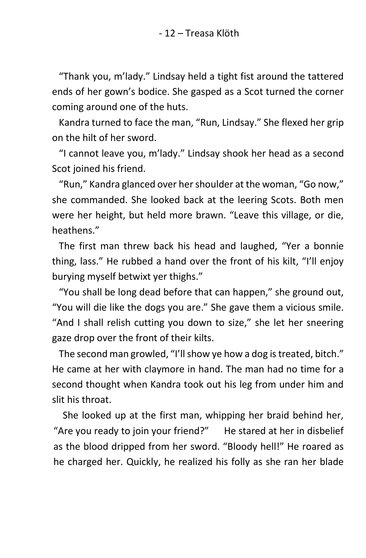"Thank you, m'lady." Lindsay held a tight fist around the tattered ends of her gown's bodice. She gasped as a Scot turned the corner coming around one of the huts.

 Kandra turned to face the man, "Run, Lindsay." She flexed her grip on the hilt of her sword.

 "I cannot leave you, m'lady." Lindsay shook her head as a second Scot joined his friend.

 "Run," Kandra glanced over her shoulder at the woman, "Go now," she commanded. She looked back at the leering Scots. Both men were her height, but held more brawn. "Leave this village, or die, heathens."

 The first man threw back his head and laughed, "Yer a bonnie thing, lass." He rubbed a hand over the front of his kilt, "I'll enjoy burying myself betwixt yer thighs."

 "You shall be long dead before that can happen," she ground out, "You will die like the dogs you are." She gave them a vicious smile. "And I shall relish cutting you down to size," she let her sneering gaze drop over the front of their kilts.

 The second man growled, "I'll show ye how a dog is treated, bitch." He came at her with claymore in hand. The man had no time for a second thought when Kandra took out his leg from under him and slit his throat.

 She looked up at the first man, whipping her braid behind her, "Are you ready to join your friend?" He stared at her in disbelief as the blood dripped from her sword. "Bloody hell!" He roared as he charged her. Quickly, he realized his folly as she ran her blade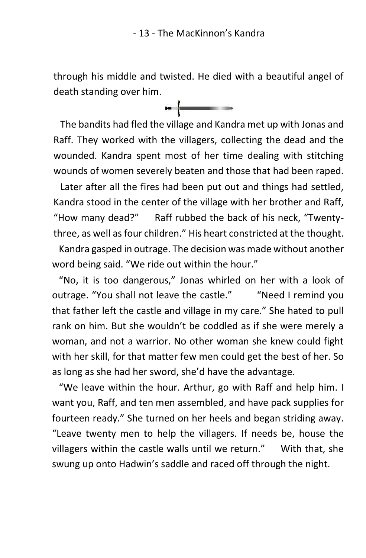through his middle and twisted. He died with a beautiful angel of death standing over him.



 The bandits had fled the village and Kandra met up with Jonas and Raff. They worked with the villagers, collecting the dead and the wounded. Kandra spent most of her time dealing with stitching wounds of women severely beaten and those that had been raped.

 Later after all the fires had been put out and things had settled, Kandra stood in the center of the village with her brother and Raff, "How many dead?" Raff rubbed the back of his neck, "Twentythree, as well as four children." His heart constricted at the thought.

 Kandra gasped in outrage. The decision was made without another word being said. "We ride out within the hour."

 "No, it is too dangerous," Jonas whirled on her with a look of outrage. "You shall not leave the castle." "Need I remind you that father left the castle and village in my care." She hated to pull rank on him. But she wouldn't be coddled as if she were merely a woman, and not a warrior. No other woman she knew could fight with her skill, for that matter few men could get the best of her. So as long as she had her sword, she'd have the advantage.

 "We leave within the hour. Arthur, go with Raff and help him. I want you, Raff, and ten men assembled, and have pack supplies for fourteen ready." She turned on her heels and began striding away. "Leave twenty men to help the villagers. If needs be, house the villagers within the castle walls until we return." With that, she swung up onto Hadwin's saddle and raced off through the night.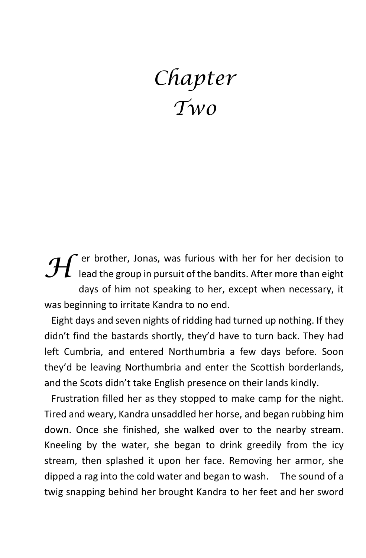## *Chapter Two*

er brother, Jonas, was furious with her for her decision to **H** er brother, Johas, was furious with her for her decision to lead the group in pursuit of the bandits. After more than eight days of him not speaking to her, except when necessary, it was beginning to irritate Kandra to no end.

 Eight days and seven nights of ridding had turned up nothing. If they didn't find the bastards shortly, they'd have to turn back. They had left Cumbria, and entered Northumbria a few days before. Soon they'd be leaving Northumbria and enter the Scottish borderlands, and the Scots didn't take English presence on their lands kindly.

 Frustration filled her as they stopped to make camp for the night. Tired and weary, Kandra unsaddled her horse, and began rubbing him down. Once she finished, she walked over to the nearby stream. Kneeling by the water, she began to drink greedily from the icy stream, then splashed it upon her face. Removing her armor, she dipped a rag into the cold water and began to wash. The sound of a twig snapping behind her brought Kandra to her feet and her sword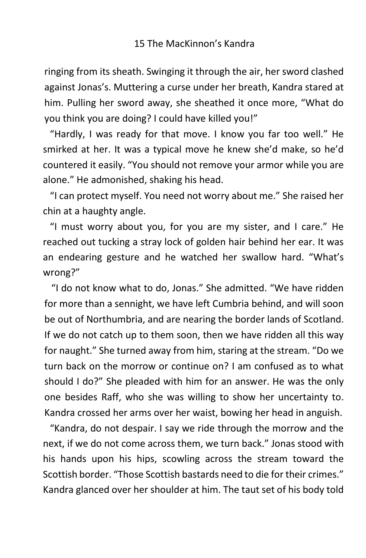ringing from its sheath. Swinging it through the air, her sword clashed against Jonas's. Muttering a curse under her breath, Kandra stared at him. Pulling her sword away, she sheathed it once more, "What do you think you are doing? I could have killed you!"

 "Hardly, I was ready for that move. I know you far too well." He smirked at her. It was a typical move he knew she'd make, so he'd countered it easily. "You should not remove your armor while you are alone." He admonished, shaking his head.

 "I can protect myself. You need not worry about me." She raised her chin at a haughty angle.

 "I must worry about you, for you are my sister, and I care." He reached out tucking a stray lock of golden hair behind her ear. It was an endearing gesture and he watched her swallow hard. "What's wrong?"

 "I do not know what to do, Jonas." She admitted. "We have ridden for more than a sennight, we have left Cumbria behind, and will soon be out of Northumbria, and are nearing the border lands of Scotland. If we do not catch up to them soon, then we have ridden all this way for naught." She turned away from him, staring at the stream. "Do we turn back on the morrow or continue on? I am confused as to what should I do?" She pleaded with him for an answer. He was the only one besides Raff, who she was willing to show her uncertainty to. Kandra crossed her arms over her waist, bowing her head in anguish.

 "Kandra, do not despair. I say we ride through the morrow and the next, if we do not come across them, we turn back." Jonas stood with his hands upon his hips, scowling across the stream toward the Scottish border. "Those Scottish bastards need to die for their crimes." Kandra glanced over her shoulder at him. The taut set of his body told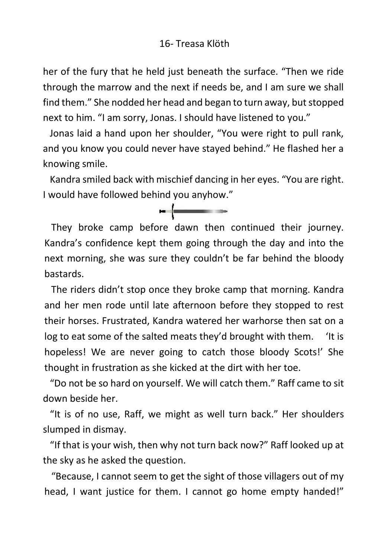her of the fury that he held just beneath the surface. "Then we ride through the marrow and the next if needs be, and I am sure we shall find them." She nodded her head and began to turn away, but stopped next to him. "I am sorry, Jonas. I should have listened to you."

 Jonas laid a hand upon her shoulder, "You were right to pull rank, and you know you could never have stayed behind." He flashed her a knowing smile.

 Kandra smiled back with mischief dancing in her eyes. "You are right. I would have followed behind you anyhow."

<u>experimental</u>

 They broke camp before dawn then continued their journey. Kandra's confidence kept them going through the day and into the next morning, she was sure they couldn't be far behind the bloody bastards.

 The riders didn't stop once they broke camp that morning. Kandra and her men rode until late afternoon before they stopped to rest their horses. Frustrated, Kandra watered her warhorse then sat on a log to eat some of the salted meats they'd brought with them. 'It is hopeless! We are never going to catch those bloody Scots!' She thought in frustration as she kicked at the dirt with her toe.

 "Do not be so hard on yourself. We will catch them." Raff came to sit down beside her.

 "It is of no use, Raff, we might as well turn back." Her shoulders slumped in dismay.

 "If that is your wish, then why not turn back now?" Raff looked up at the sky as he asked the question.

 "Because, I cannot seem to get the sight of those villagers out of my head, I want justice for them. I cannot go home empty handed!"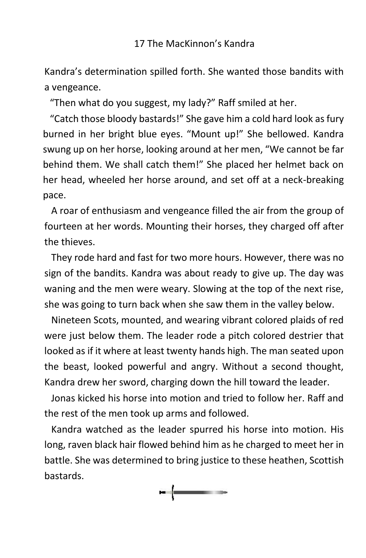Kandra's determination spilled forth. She wanted those bandits with a vengeance.

"Then what do you suggest, my lady?" Raff smiled at her.

 "Catch those bloody bastards!" She gave him a cold hard look as fury burned in her bright blue eyes. "Mount up!" She bellowed. Kandra swung up on her horse, looking around at her men, "We cannot be far behind them. We shall catch them!" She placed her helmet back on her head, wheeled her horse around, and set off at a neck-breaking pace.

 A roar of enthusiasm and vengeance filled the air from the group of fourteen at her words. Mounting their horses, they charged off after the thieves.

 They rode hard and fast for two more hours. However, there was no sign of the bandits. Kandra was about ready to give up. The day was waning and the men were weary. Slowing at the top of the next rise, she was going to turn back when she saw them in the valley below.

 Nineteen Scots, mounted, and wearing vibrant colored plaids of red were just below them. The leader rode a pitch colored destrier that looked as if it where at least twenty hands high. The man seated upon the beast, looked powerful and angry. Without a second thought, Kandra drew her sword, charging down the hill toward the leader.

 Jonas kicked his horse into motion and tried to follow her. Raff and the rest of the men took up arms and followed.

 Kandra watched as the leader spurred his horse into motion. His long, raven black hair flowed behind him as he charged to meet her in battle. She was determined to bring justice to these heathen, Scottish bastards.

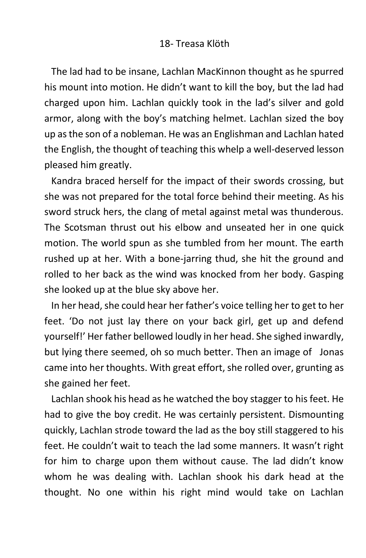The lad had to be insane, Lachlan MacKinnon thought as he spurred his mount into motion. He didn't want to kill the boy, but the lad had charged upon him. Lachlan quickly took in the lad's silver and gold armor, along with the boy's matching helmet. Lachlan sized the boy up as the son of a nobleman. He was an Englishman and Lachlan hated the English, the thought of teaching this whelp a well-deserved lesson pleased him greatly.

 Kandra braced herself for the impact of their swords crossing, but she was not prepared for the total force behind their meeting. As his sword struck hers, the clang of metal against metal was thunderous. The Scotsman thrust out his elbow and unseated her in one quick motion. The world spun as she tumbled from her mount. The earth rushed up at her. With a bone-jarring thud, she hit the ground and rolled to her back as the wind was knocked from her body. Gasping she looked up at the blue sky above her.

 In her head, she could hear her father's voice telling her to get to her feet. 'Do not just lay there on your back girl, get up and defend yourself!' Her father bellowed loudly in her head. She sighed inwardly, but lying there seemed, oh so much better. Then an image of Jonas came into her thoughts. With great effort, she rolled over, grunting as she gained her feet.

 Lachlan shook his head as he watched the boy stagger to his feet. He had to give the boy credit. He was certainly persistent. Dismounting quickly, Lachlan strode toward the lad as the boy still staggered to his feet. He couldn't wait to teach the lad some manners. It wasn't right for him to charge upon them without cause. The lad didn't know whom he was dealing with. Lachlan shook his dark head at the thought. No one within his right mind would take on Lachlan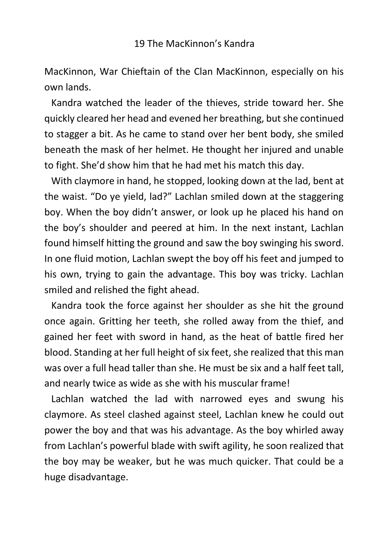MacKinnon, War Chieftain of the Clan MacKinnon, especially on his own lands.

 Kandra watched the leader of the thieves, stride toward her. She quickly cleared her head and evened her breathing, but she continued to stagger a bit. As he came to stand over her bent body, she smiled beneath the mask of her helmet. He thought her injured and unable to fight. She'd show him that he had met his match this day.

 With claymore in hand, he stopped, looking down at the lad, bent at the waist. "Do ye yield, lad?" Lachlan smiled down at the staggering boy. When the boy didn't answer, or look up he placed his hand on the boy's shoulder and peered at him. In the next instant, Lachlan found himself hitting the ground and saw the boy swinging his sword. In one fluid motion, Lachlan swept the boy off his feet and jumped to his own, trying to gain the advantage. This boy was tricky. Lachlan smiled and relished the fight ahead.

 Kandra took the force against her shoulder as she hit the ground once again. Gritting her teeth, she rolled away from the thief, and gained her feet with sword in hand, as the heat of battle fired her blood. Standing at her full height of six feet, she realized that this man was over a full head taller than she. He must be six and a half feet tall, and nearly twice as wide as she with his muscular frame!

 Lachlan watched the lad with narrowed eyes and swung his claymore. As steel clashed against steel, Lachlan knew he could out power the boy and that was his advantage. As the boy whirled away from Lachlan's powerful blade with swift agility, he soon realized that the boy may be weaker, but he was much quicker. That could be a huge disadvantage.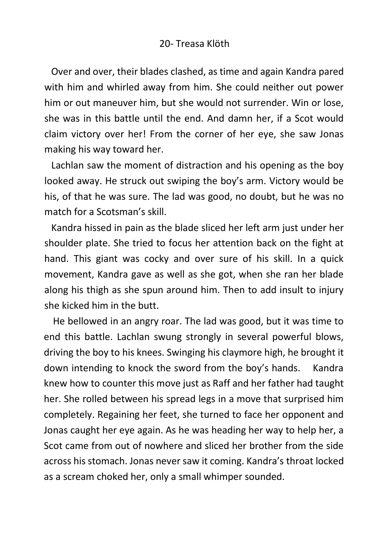Over and over, their blades clashed, as time and again Kandra pared with him and whirled away from him. She could neither out power him or out maneuver him, but she would not surrender. Win or lose, she was in this battle until the end. And damn her, if a Scot would claim victory over her! From the corner of her eye, she saw Jonas making his way toward her.

 Lachlan saw the moment of distraction and his opening as the boy looked away. He struck out swiping the boy's arm. Victory would be his, of that he was sure. The lad was good, no doubt, but he was no match for a Scotsman's skill.

 Kandra hissed in pain as the blade sliced her left arm just under her shoulder plate. She tried to focus her attention back on the fight at hand. This giant was cocky and over sure of his skill. In a quick movement, Kandra gave as well as she got, when she ran her blade along his thigh as she spun around him. Then to add insult to injury she kicked him in the butt.

He bellowed in an angry roar. The lad was good, but it was time to end this battle. Lachlan swung strongly in several powerful blows, driving the boy to his knees. Swinging his claymore high, he brought it down intending to knock the sword from the boy's hands. Kandra knew how to counter this move just as Raff and her father had taught her. She rolled between his spread legs in a move that surprised him completely. Regaining her feet, she turned to face her opponent and Jonas caught her eye again. As he was heading her way to help her, a Scot came from out of nowhere and sliced her brother from the side across his stomach. Jonas never saw it coming. Kandra's throat locked as a scream choked her, only a small whimper sounded.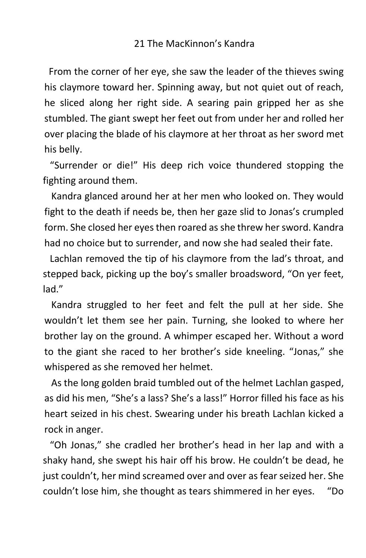From the corner of her eye, she saw the leader of the thieves swing his claymore toward her. Spinning away, but not quiet out of reach, he sliced along her right side. A searing pain gripped her as she stumbled. The giant swept her feet out from under her and rolled her over placing the blade of his claymore at her throat as her sword met his belly.

 "Surrender or die!" His deep rich voice thundered stopping the fighting around them.

 Kandra glanced around her at her men who looked on. They would fight to the death if needs be, then her gaze slid to Jonas's crumpled form. She closed her eyes then roared as she threw her sword. Kandra had no choice but to surrender, and now she had sealed their fate.

 Lachlan removed the tip of his claymore from the lad's throat, and stepped back, picking up the boy's smaller broadsword, "On yer feet, lad."

 Kandra struggled to her feet and felt the pull at her side. She wouldn't let them see her pain. Turning, she looked to where her brother lay on the ground. A whimper escaped her. Without a word to the giant she raced to her brother's side kneeling. "Jonas," she whispered as she removed her helmet.

 As the long golden braid tumbled out of the helmet Lachlan gasped, as did his men, "She's a lass? She's a lass!" Horror filled his face as his heart seized in his chest. Swearing under his breath Lachlan kicked a rock in anger.

 "Oh Jonas," she cradled her brother's head in her lap and with a shaky hand, she swept his hair off his brow. He couldn't be dead, he just couldn't, her mind screamed over and over as fear seized her. She couldn't lose him, she thought as tears shimmered in her eyes. "Do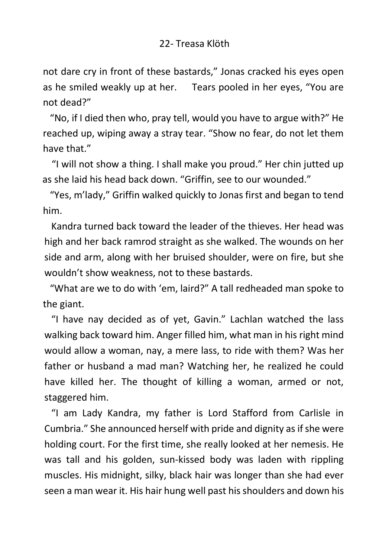### 22- Treasa Klöth

not dare cry in front of these bastards," Jonas cracked his eyes open as he smiled weakly up at her. Tears pooled in her eyes, "You are not dead?"

 "No, if I died then who, pray tell, would you have to argue with?" He reached up, wiping away a stray tear. "Show no fear, do not let them have that."

"I will not show a thing. I shall make you proud." Her chin jutted up as she laid his head back down. "Griffin, see to our wounded."

 "Yes, m'lady," Griffin walked quickly to Jonas first and began to tend him.

 Kandra turned back toward the leader of the thieves. Her head was high and her back ramrod straight as she walked. The wounds on her side and arm, along with her bruised shoulder, were on fire, but she wouldn't show weakness, not to these bastards.

 "What are we to do with 'em, laird?" A tall redheaded man spoke to the giant.

 "I have nay decided as of yet, Gavin." Lachlan watched the lass walking back toward him. Anger filled him, what man in his right mind would allow a woman, nay, a mere lass, to ride with them? Was her father or husband a mad man? Watching her, he realized he could have killed her. The thought of killing a woman, armed or not, staggered him.

 "I am Lady Kandra, my father is Lord Stafford from Carlisle in Cumbria." She announced herself with pride and dignity as if she were holding court. For the first time, she really looked at her nemesis. He was tall and his golden, sun-kissed body was laden with rippling muscles. His midnight, silky, black hair was longer than she had ever seen a man wear it. His hair hung well past his shoulders and down his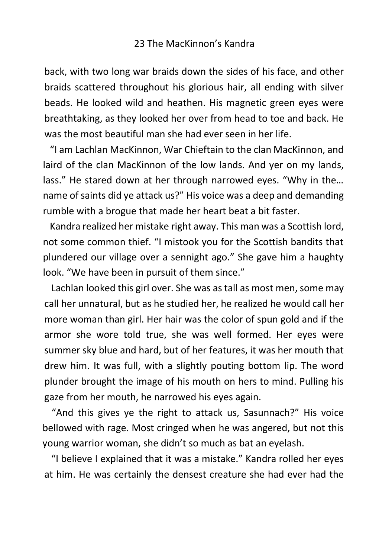back, with two long war braids down the sides of his face, and other braids scattered throughout his glorious hair, all ending with silver beads. He looked wild and heathen. His magnetic green eyes were breathtaking, as they looked her over from head to toe and back. He was the most beautiful man she had ever seen in her life.

 "I am Lachlan MacKinnon, War Chieftain to the clan MacKinnon, and laird of the clan MacKinnon of the low lands. And yer on my lands, lass." He stared down at her through narrowed eyes. "Why in the… name of saints did ye attack us?" His voice was a deep and demanding rumble with a brogue that made her heart beat a bit faster.

 Kandra realized her mistake right away. This man was a Scottish lord, not some common thief. "I mistook you for the Scottish bandits that plundered our village over a sennight ago." She gave him a haughty look. "We have been in pursuit of them since."

 Lachlan looked this girl over. She was as tall as most men, some may call her unnatural, but as he studied her, he realized he would call her more woman than girl. Her hair was the color of spun gold and if the armor she wore told true, she was well formed. Her eyes were summer sky blue and hard, but of her features, it was her mouth that drew him. It was full, with a slightly pouting bottom lip. The word plunder brought the image of his mouth on hers to mind. Pulling his gaze from her mouth, he narrowed his eyes again.

"And this gives ye the right to attack us, Sasunnach?" His voice bellowed with rage. Most cringed when he was angered, but not this young warrior woman, she didn't so much as bat an eyelash.

 "I believe I explained that it was a mistake." Kandra rolled her eyes at him. He was certainly the densest creature she had ever had the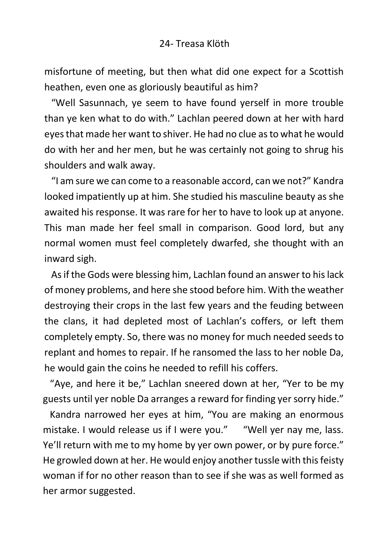#### 24- Treasa Klöth

misfortune of meeting, but then what did one expect for a Scottish heathen, even one as gloriously beautiful as him?

 "Well Sasunnach, ye seem to have found yerself in more trouble than ye ken what to do with." Lachlan peered down at her with hard eyes that made her want to shiver. He had no clue as to what he would do with her and her men, but he was certainly not going to shrug his shoulders and walk away.

 "I am sure we can come to a reasonable accord, can we not?" Kandra looked impatiently up at him. She studied his masculine beauty as she awaited his response. It was rare for her to have to look up at anyone. This man made her feel small in comparison. Good lord, but any normal women must feel completely dwarfed, she thought with an inward sigh.

 As if the Gods were blessing him, Lachlan found an answer to his lack of money problems, and here she stood before him. With the weather destroying their crops in the last few years and the feuding between the clans, it had depleted most of Lachlan's coffers, or left them completely empty. So, there was no money for much needed seeds to replant and homes to repair. If he ransomed the lass to her noble Da, he would gain the coins he needed to refill his coffers.

 "Aye, and here it be," Lachlan sneered down at her, "Yer to be my guests until yer noble Da arranges a reward for finding yer sorry hide."

 Kandra narrowed her eyes at him, "You are making an enormous mistake. I would release us if I were you." "Well yer nay me, lass. Ye'll return with me to my home by yer own power, or by pure force." He growled down at her. He would enjoy another tussle with this feisty woman if for no other reason than to see if she was as well formed as her armor suggested.